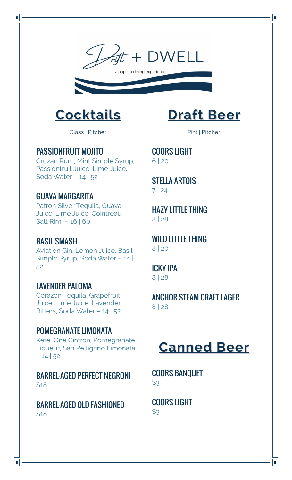



Glass | Pitcher

#### PASSIONFRUIT MOJITO

 $\blacksquare$ 

Cruzan Rum, Mint Simple Syrup, Passionfruit Juice, Lime Juice, Soda Water – 14 | 52

## GUAVA MARGARITA

Patron Silver Tequila, Guava Juice, Lime Juice, Cointreau, Salt Rim – 16 | 60

#### BASIL SMASH

Aviation Gin, Lemon Juice, Basil Simple Syrup, Soda Water – 14 | 52

## LAVENDER PALOMA

Corazon Tequila, Grapefruit Juice, Lime Juice, Lavender Bitters, Soda Water – 14 | 52

## POMEGRANATE LIMONATA

Ketel One Cintron, Pomegranate Liqueur, San Pelligrino Limonata – 14 | 52

BARREL-AGED PERFECT NEGRONI \$18

BARREL-AGED OLD FASHIONED \$18

## **Draft Beer**

 $\overline{\phantom{a}}$ 

Pint | Pitcher

COORS LIGHT 6 | 20

STELLA ARTOIS 7 | 24

HAZY LITTLE THING 8 | 28

WILD LITTLE THING 8 | 20

ICKY IPA 8 | 28

ANCHOR STEAM CRAFT LAGER 8 | 28

## **Canned Beer**

COORS BANQUET  $$3$ 

COORS LIGHT  $$3$